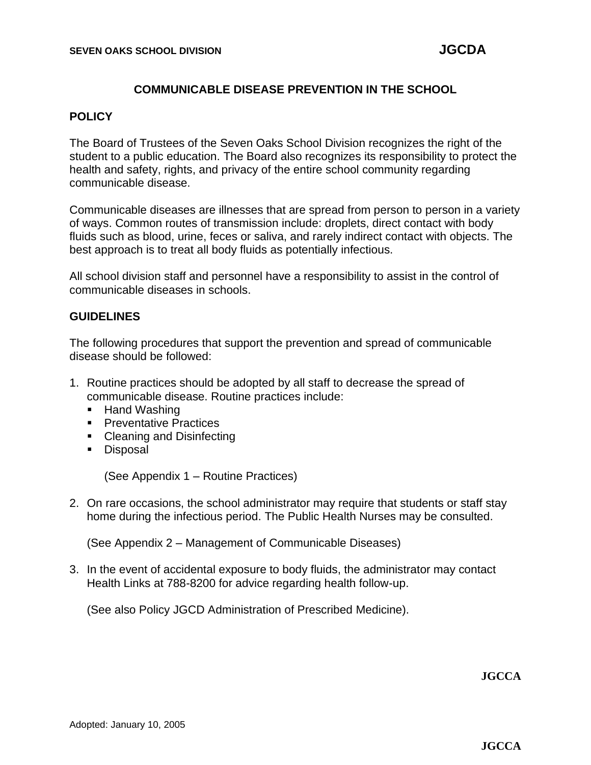### **COMMUNICABLE DISEASE PREVENTION IN THE SCHOOL**

#### **POLICY**

The Board of Trustees of the Seven Oaks School Division recognizes the right of the student to a public education. The Board also recognizes its responsibility to protect the health and safety, rights, and privacy of the entire school community regarding communicable disease.

Communicable diseases are illnesses that are spread from person to person in a variety of ways. Common routes of transmission include: droplets, direct contact with body fluids such as blood, urine, feces or saliva, and rarely indirect contact with objects. The best approach is to treat all body fluids as potentially infectious.

All school division staff and personnel have a responsibility to assist in the control of communicable diseases in schools.

#### **GUIDELINES**

The following procedures that support the prevention and spread of communicable disease should be followed:

- 1. Routine practices should be adopted by all staff to decrease the spread of communicable disease. Routine practices include:
	- Hand Washing
	- **•** Preventative Practices
	- Cleaning and Disinfecting
	- Disposal

(See Appendix 1 – Routine Practices)

2. On rare occasions, the school administrator may require that students or staff stay home during the infectious period. The Public Health Nurses may be consulted.

(See Appendix 2 – Management of Communicable Diseases)

3. In the event of accidental exposure to body fluids, the administrator may contact Health Links at 788-8200 for advice regarding health follow-up.

(See also Policy JGCD Administration of Prescribed Medicine).

**JGCCA**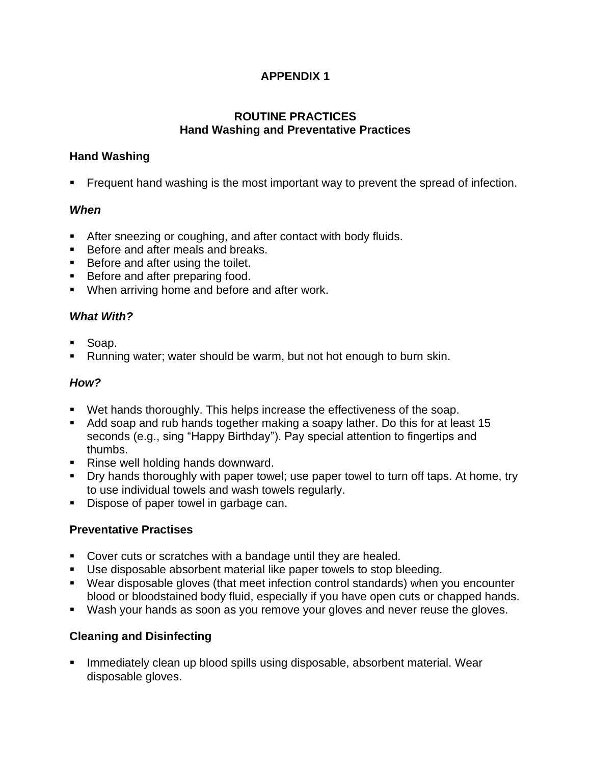### **APPENDIX 1**

### **ROUTINE PRACTICES Hand Washing and Preventative Practices**

### **Hand Washing**

**•** Frequent hand washing is the most important way to prevent the spread of infection.

### *When*

- After sneezing or coughing, and after contact with body fluids.
- Before and after meals and breaks.
- Before and after using the toilet.
- Before and after preparing food.
- When arriving home and before and after work.

### *What With?*

- Soap.
- Running water; water should be warm, but not hot enough to burn skin.

### *How?*

- Wet hands thoroughly. This helps increase the effectiveness of the soap.
- Add soap and rub hands together making a soapy lather. Do this for at least 15 seconds (e.g., sing "Happy Birthday"). Pay special attention to fingertips and thumbs.
- Rinse well holding hands downward.
- Dry hands thoroughly with paper towel; use paper towel to turn off taps. At home, try to use individual towels and wash towels regularly.
- Dispose of paper towel in garbage can.

### **Preventative Practises**

- Cover cuts or scratches with a bandage until they are healed.
- Use disposable absorbent material like paper towels to stop bleeding.
- Wear disposable gloves (that meet infection control standards) when you encounter blood or bloodstained body fluid, especially if you have open cuts or chapped hands.
- Wash your hands as soon as you remove your gloves and never reuse the gloves.

## **Cleaning and Disinfecting**

**EXT** Immediately clean up blood spills using disposable, absorbent material. Wear disposable gloves.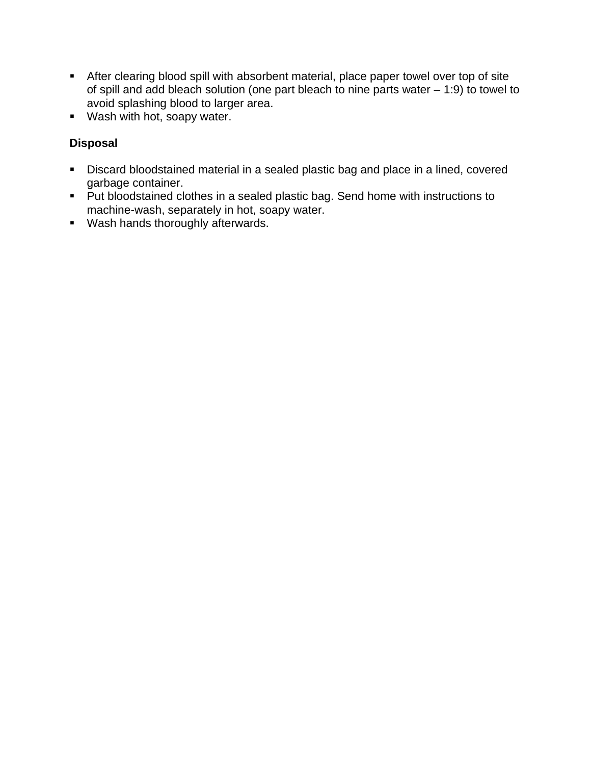- **EXEDERT After clearing blood spill with absorbent material, place paper towel over top of site** of spill and add bleach solution (one part bleach to nine parts water – 1:9) to towel to avoid splashing blood to larger area.
- Wash with hot, soapy water.

### **Disposal**

- Discard bloodstained material in a sealed plastic bag and place in a lined, covered garbage container.
- Put bloodstained clothes in a sealed plastic bag. Send home with instructions to machine-wash, separately in hot, soapy water.
- Wash hands thoroughly afterwards.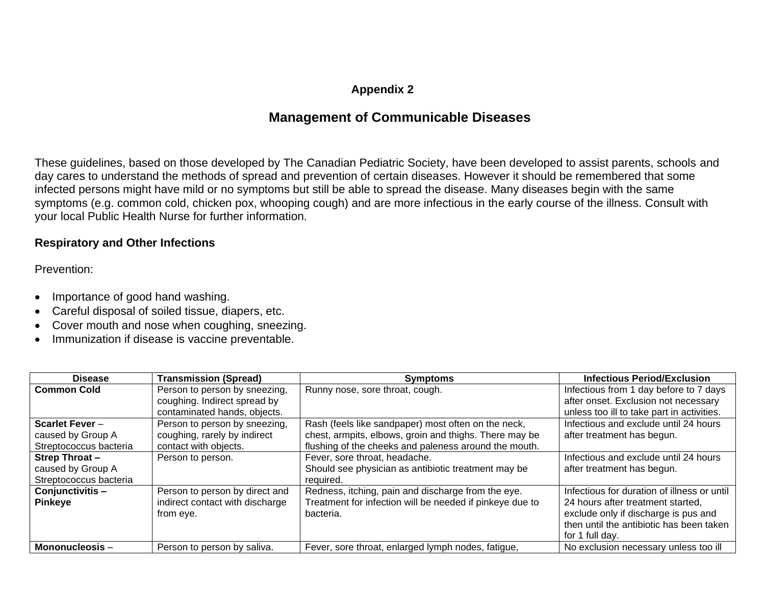### **Appendix 2**

## **Management of Communicable Diseases**

These guidelines, based on those developed by The Canadian Pediatric Society, have been developed to assist parents, schools and day cares to understand the methods of spread and prevention of certain diseases. However it should be remembered that some infected persons might have mild or no symptoms but still be able to spread the disease. Many diseases begin with the same symptoms (e.g. common cold, chicken pox, whooping cough) and are more infectious in the early course of the illness. Consult with your local Public Health Nurse for further information.

#### **Respiratory and Other Infections**

Prevention:

- Importance of good hand washing.
- Careful disposal of soiled tissue, diapers, etc.
- Cover mouth and nose when coughing, sneezing.
- Immunization if disease is vaccine preventable.

| <b>Disease</b>         | <b>Transmission (Spread)</b>    | <b>Symptoms</b>                                          | <b>Infectious Period/Exclusion</b>          |
|------------------------|---------------------------------|----------------------------------------------------------|---------------------------------------------|
| <b>Common Cold</b>     | Person to person by sneezing,   | Runny nose, sore throat, cough.                          | Infectious from 1 day before to 7 days      |
|                        | coughing. Indirect spread by    |                                                          | after onset. Exclusion not necessary        |
|                        | contaminated hands, objects.    |                                                          | unless too ill to take part in activities.  |
| <b>Scarlet Fever -</b> | Person to person by sneezing,   | Rash (feels like sandpaper) most often on the neck,      | Infectious and exclude until 24 hours       |
| caused by Group A      | coughing, rarely by indirect    | chest, armpits, elbows, groin and thighs. There may be   | after treatment has begun.                  |
| Streptococcus bacteria | contact with objects.           | flushing of the cheeks and paleness around the mouth.    |                                             |
| <b>Strep Throat-</b>   | Person to person.               | Fever, sore throat, headache.                            | Infectious and exclude until 24 hours       |
| caused by Group A      |                                 | Should see physician as antibiotic treatment may be      | after treatment has begun.                  |
| Streptococcus bacteria |                                 | required.                                                |                                             |
| Conjunctivitis-        | Person to person by direct and  | Redness, itching, pain and discharge from the eye.       | Infectious for duration of illness or until |
| <b>Pinkeye</b>         | indirect contact with discharge | Treatment for infection will be needed if pinkeye due to | 24 hours after treatment started.           |
|                        | from eye.                       | bacteria.                                                | exclude only if discharge is pus and        |
|                        |                                 |                                                          | then until the antibiotic has been taken    |
|                        |                                 |                                                          | for 1 full day.                             |
| Mononucleosis -        | Person to person by saliva.     | Fever, sore throat, enlarged lymph nodes, fatigue,       | No exclusion necessary unless too ill       |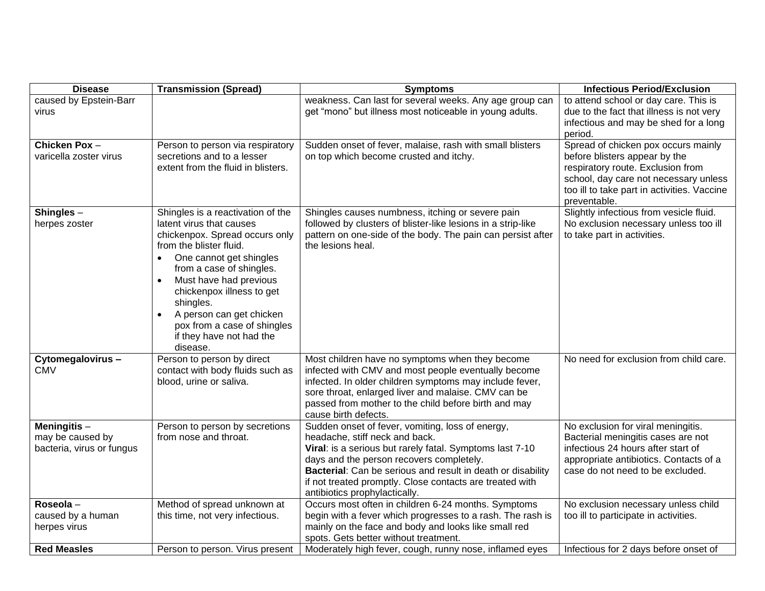| <b>Disease</b>                                               | <b>Transmission (Spread)</b>                                                                                                                                                                                                                                                                                                                                                                    | <b>Symptoms</b>                                                                                                                                                                                                                                                                                                                                               | <b>Infectious Period/Exclusion</b>                                                                                                                                                                                |
|--------------------------------------------------------------|-------------------------------------------------------------------------------------------------------------------------------------------------------------------------------------------------------------------------------------------------------------------------------------------------------------------------------------------------------------------------------------------------|---------------------------------------------------------------------------------------------------------------------------------------------------------------------------------------------------------------------------------------------------------------------------------------------------------------------------------------------------------------|-------------------------------------------------------------------------------------------------------------------------------------------------------------------------------------------------------------------|
| caused by Epstein-Barr<br>virus                              |                                                                                                                                                                                                                                                                                                                                                                                                 | weakness. Can last for several weeks. Any age group can<br>get "mono" but illness most noticeable in young adults.                                                                                                                                                                                                                                            | to attend school or day care. This is<br>due to the fact that illness is not very<br>infectious and may be shed for a long<br>period.                                                                             |
| Chicken Pox-<br>varicella zoster virus                       | Person to person via respiratory<br>secretions and to a lesser<br>extent from the fluid in blisters.                                                                                                                                                                                                                                                                                            | Sudden onset of fever, malaise, rash with small blisters<br>on top which become crusted and itchy.                                                                                                                                                                                                                                                            | Spread of chicken pox occurs mainly<br>before blisters appear by the<br>respiratory route. Exclusion from<br>school, day care not necessary unless<br>too ill to take part in activities. Vaccine<br>preventable. |
| Shingles -<br>herpes zoster                                  | Shingles is a reactivation of the<br>latent virus that causes<br>chickenpox. Spread occurs only<br>from the blister fluid.<br>One cannot get shingles<br>$\bullet$<br>from a case of shingles.<br>Must have had previous<br>$\bullet$<br>chickenpox illness to get<br>shingles.<br>A person can get chicken<br>$\bullet$<br>pox from a case of shingles<br>if they have not had the<br>disease. | Shingles causes numbness, itching or severe pain<br>followed by clusters of blister-like lesions in a strip-like<br>pattern on one-side of the body. The pain can persist after<br>the lesions heal.                                                                                                                                                          | Slightly infectious from vesicle fluid.<br>No exclusion necessary unless too ill<br>to take part in activities.                                                                                                   |
| Cytomegalovirus-<br><b>CMV</b>                               | Person to person by direct<br>contact with body fluids such as<br>blood, urine or saliva.                                                                                                                                                                                                                                                                                                       | Most children have no symptoms when they become<br>infected with CMV and most people eventually become<br>infected. In older children symptoms may include fever,<br>sore throat, enlarged liver and malaise. CMV can be<br>passed from mother to the child before birth and may<br>cause birth defects.                                                      | No need for exclusion from child care.                                                                                                                                                                            |
| Meningitis-<br>may be caused by<br>bacteria, virus or fungus | Person to person by secretions<br>from nose and throat.                                                                                                                                                                                                                                                                                                                                         | Sudden onset of fever, vomiting, loss of energy,<br>headache, stiff neck and back.<br>Viral: is a serious but rarely fatal. Symptoms last 7-10<br>days and the person recovers completely.<br><b>Bacterial:</b> Can be serious and result in death or disability<br>if not treated promptly. Close contacts are treated with<br>antibiotics prophylactically. | No exclusion for viral meningitis.<br>Bacterial meningitis cases are not<br>infectious 24 hours after start of<br>appropriate antibiotics. Contacts of a<br>case do not need to be excluded.                      |
| Roseola-<br>caused by a human<br>herpes virus                | Method of spread unknown at<br>this time, not very infectious.                                                                                                                                                                                                                                                                                                                                  | Occurs most often in children 6-24 months. Symptoms<br>begin with a fever which progresses to a rash. The rash is<br>mainly on the face and body and looks like small red<br>spots. Gets better without treatment.                                                                                                                                            | No exclusion necessary unless child<br>too ill to participate in activities.                                                                                                                                      |
| <b>Red Measles</b>                                           | Person to person. Virus present                                                                                                                                                                                                                                                                                                                                                                 | Moderately high fever, cough, runny nose, inflamed eyes                                                                                                                                                                                                                                                                                                       | Infectious for 2 days before onset of                                                                                                                                                                             |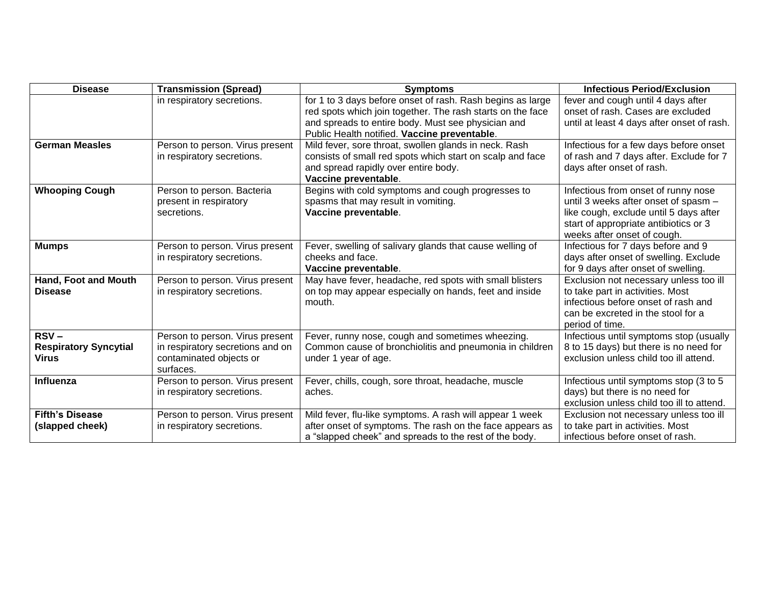| <b>Disease</b>                                          | <b>Transmission (Spread)</b>                                                                                | <b>Symptoms</b>                                                                                                                                                                                                                | <b>Infectious Period/Exclusion</b>                                                                                                                                                            |
|---------------------------------------------------------|-------------------------------------------------------------------------------------------------------------|--------------------------------------------------------------------------------------------------------------------------------------------------------------------------------------------------------------------------------|-----------------------------------------------------------------------------------------------------------------------------------------------------------------------------------------------|
|                                                         | in respiratory secretions.                                                                                  | for 1 to 3 days before onset of rash. Rash begins as large<br>red spots which join together. The rash starts on the face<br>and spreads to entire body. Must see physician and<br>Public Health notified. Vaccine preventable. | fever and cough until 4 days after<br>onset of rash. Cases are excluded<br>until at least 4 days after onset of rash.                                                                         |
| <b>German Measles</b>                                   | Person to person. Virus present<br>in respiratory secretions.                                               | Mild fever, sore throat, swollen glands in neck. Rash<br>consists of small red spots which start on scalp and face<br>and spread rapidly over entire body.<br>Vaccine preventable.                                             | Infectious for a few days before onset<br>of rash and 7 days after. Exclude for 7<br>days after onset of rash.                                                                                |
| <b>Whooping Cough</b>                                   | Person to person. Bacteria<br>present in respiratory<br>secretions.                                         | Begins with cold symptoms and cough progresses to<br>spasms that may result in vomiting.<br>Vaccine preventable.                                                                                                               | Infectious from onset of runny nose<br>until 3 weeks after onset of spasm -<br>like cough, exclude until 5 days after<br>start of appropriate antibiotics or 3<br>weeks after onset of cough. |
| <b>Mumps</b>                                            | Person to person. Virus present<br>in respiratory secretions.                                               | Fever, swelling of salivary glands that cause welling of<br>cheeks and face.<br>Vaccine preventable.                                                                                                                           | Infectious for 7 days before and 9<br>days after onset of swelling. Exclude<br>for 9 days after onset of swelling.                                                                            |
| Hand, Foot and Mouth<br><b>Disease</b>                  | Person to person. Virus present<br>in respiratory secretions.                                               | May have fever, headache, red spots with small blisters<br>on top may appear especially on hands, feet and inside<br>mouth.                                                                                                    | Exclusion not necessary unless too ill<br>to take part in activities. Most<br>infectious before onset of rash and<br>can be excreted in the stool for a<br>period of time.                    |
| $RSV -$<br><b>Respiratory Syncytial</b><br><b>Virus</b> | Person to person. Virus present<br>in respiratory secretions and on<br>contaminated objects or<br>surfaces. | Fever, runny nose, cough and sometimes wheezing.<br>Common cause of bronchiolitis and pneumonia in children<br>under 1 year of age.                                                                                            | Infectious until symptoms stop (usually<br>8 to 15 days) but there is no need for<br>exclusion unless child too ill attend.                                                                   |
| Influenza                                               | Person to person. Virus present<br>in respiratory secretions.                                               | Fever, chills, cough, sore throat, headache, muscle<br>aches.                                                                                                                                                                  | Infectious until symptoms stop (3 to 5<br>days) but there is no need for<br>exclusion unless child too ill to attend.                                                                         |
| <b>Fifth's Disease</b><br>(slapped cheek)               | Person to person. Virus present<br>in respiratory secretions.                                               | Mild fever, flu-like symptoms. A rash will appear 1 week<br>after onset of symptoms. The rash on the face appears as<br>a "slapped cheek" and spreads to the rest of the body.                                                 | Exclusion not necessary unless too ill<br>to take part in activities. Most<br>infectious before onset of rash.                                                                                |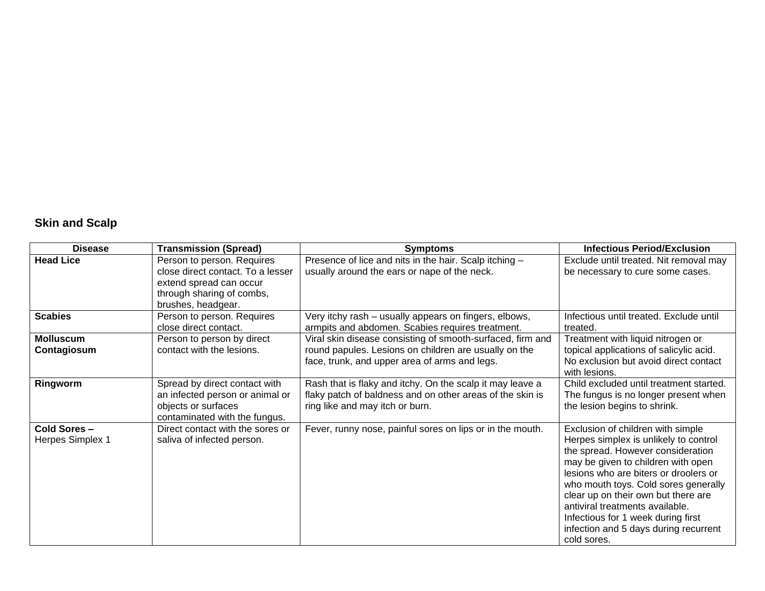# **Skin and Scalp**

| <b>Disease</b>                  | <b>Transmission (Spread)</b>                                                                                                                  | <b>Symptoms</b>                                                                                                                                                      | <b>Infectious Period/Exclusion</b>                                                                                                                                                                                                                                                                                                                                                                             |
|---------------------------------|-----------------------------------------------------------------------------------------------------------------------------------------------|----------------------------------------------------------------------------------------------------------------------------------------------------------------------|----------------------------------------------------------------------------------------------------------------------------------------------------------------------------------------------------------------------------------------------------------------------------------------------------------------------------------------------------------------------------------------------------------------|
| <b>Head Lice</b>                | Person to person. Requires<br>close direct contact. To a lesser<br>extend spread can occur<br>through sharing of combs,<br>brushes, headgear. | Presence of lice and nits in the hair. Scalp itching -<br>usually around the ears or nape of the neck.                                                               | Exclude until treated. Nit removal may<br>be necessary to cure some cases.                                                                                                                                                                                                                                                                                                                                     |
| <b>Scabies</b>                  | Person to person. Requires<br>close direct contact.                                                                                           | Very itchy rash - usually appears on fingers, elbows,<br>armpits and abdomen. Scabies requires treatment.                                                            | Infectious until treated. Exclude until<br>treated.                                                                                                                                                                                                                                                                                                                                                            |
| <b>Molluscum</b><br>Contagiosum | Person to person by direct<br>contact with the lesions.                                                                                       | Viral skin disease consisting of smooth-surfaced, firm and<br>round papules. Lesions on children are usually on the<br>face, trunk, and upper area of arms and legs. | Treatment with liquid nitrogen or<br>topical applications of salicylic acid.<br>No exclusion but avoid direct contact<br>with lesions.                                                                                                                                                                                                                                                                         |
| Ringworm                        | Spread by direct contact with<br>an infected person or animal or<br>objects or surfaces<br>contaminated with the fungus.                      | Rash that is flaky and itchy. On the scalp it may leave a<br>flaky patch of baldness and on other areas of the skin is<br>ring like and may itch or burn.            | Child excluded until treatment started.<br>The fungus is no longer present when<br>the lesion begins to shrink.                                                                                                                                                                                                                                                                                                |
| Cold Sores-<br>Herpes Simplex 1 | Direct contact with the sores or<br>saliva of infected person.                                                                                | Fever, runny nose, painful sores on lips or in the mouth.                                                                                                            | Exclusion of children with simple<br>Herpes simplex is unlikely to control<br>the spread. However consideration<br>may be given to children with open<br>lesions who are biters or droolers or<br>who mouth toys. Cold sores generally<br>clear up on their own but there are<br>antiviral treatments available.<br>Infectious for 1 week during first<br>infection and 5 days during recurrent<br>cold sores. |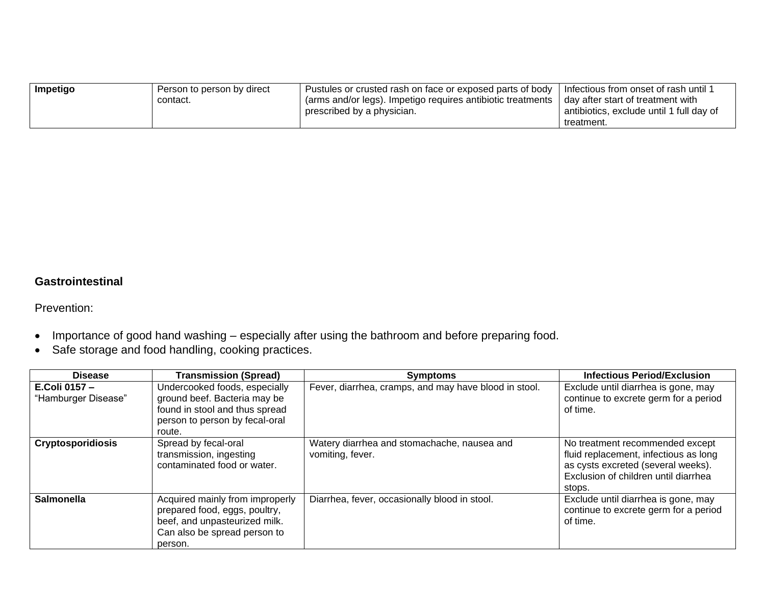| Impetigo | Person to person by direct | Pustules or crusted rash on face or exposed parts of body                | Infectious from onset of rash until 1    |
|----------|----------------------------|--------------------------------------------------------------------------|------------------------------------------|
|          | contact.                   | <sup>1</sup> (arms and/or legs). Impetigo requires antibiotic treatments | day after start of treatment with        |
|          |                            | prescribed by a physician.                                               | antibiotics, exclude until 1 full day of |
|          |                            |                                                                          | treatment.                               |

### **Gastrointestinal**

Prevention:

- Importance of good hand washing especially after using the bathroom and before preparing food.
- Safe storage and food handling, cooking practices.

| <b>Disease</b>                      | <b>Transmission (Spread)</b>                                                                                                                 | <b>Symptoms</b>                                                 | <b>Infectious Period/Exclusion</b>                                                                                                                               |
|-------------------------------------|----------------------------------------------------------------------------------------------------------------------------------------------|-----------------------------------------------------------------|------------------------------------------------------------------------------------------------------------------------------------------------------------------|
| E.Coli 0157-<br>"Hamburger Disease" | Undercooked foods, especially<br>ground beef. Bacteria may be<br>found in stool and thus spread<br>person to person by fecal-oral<br>route.  | Fever, diarrhea, cramps, and may have blood in stool.           | Exclude until diarrhea is gone, may<br>continue to excrete germ for a period<br>of time.                                                                         |
| <b>Cryptosporidiosis</b>            | Spread by fecal-oral<br>transmission, ingesting<br>contaminated food or water.                                                               | Watery diarrhea and stomachache, nausea and<br>vomiting, fever. | No treatment recommended except<br>fluid replacement, infectious as long<br>as cysts excreted (several weeks).<br>Exclusion of children until diarrhea<br>stops. |
| <b>Salmonella</b>                   | Acquired mainly from improperly<br>prepared food, eggs, poultry,<br>beef, and unpasteurized milk.<br>Can also be spread person to<br>person. | Diarrhea, fever, occasionally blood in stool.                   | Exclude until diarrhea is gone, may<br>continue to excrete germ for a period<br>of time.                                                                         |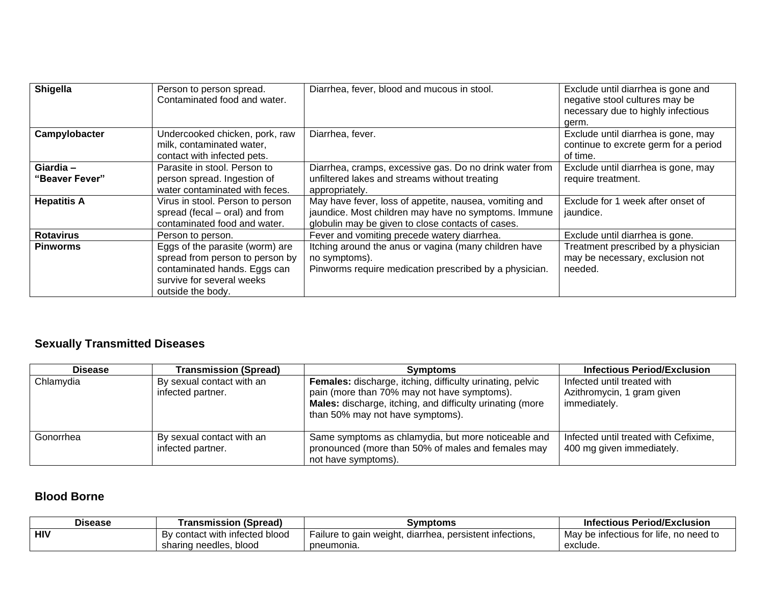| Shigella                    | Person to person spread.<br>Contaminated food and water.                                                                                             | Diarrhea, fever, blood and mucous in stool.                                                                                                                         | Exclude until diarrhea is gone and<br>negative stool cultures may be<br>necessary due to highly infectious<br>germ. |
|-----------------------------|------------------------------------------------------------------------------------------------------------------------------------------------------|---------------------------------------------------------------------------------------------------------------------------------------------------------------------|---------------------------------------------------------------------------------------------------------------------|
| Campylobacter               | Undercooked chicken, pork, raw<br>milk, contaminated water,<br>contact with infected pets.                                                           | Diarrhea, fever.                                                                                                                                                    | Exclude until diarrhea is gone, may<br>continue to excrete germ for a period<br>of time.                            |
| Giardia -<br>"Beaver Fever" | Parasite in stool. Person to<br>person spread. Ingestion of<br>water contaminated with feces.                                                        | Diarrhea, cramps, excessive gas. Do no drink water from<br>unfiltered lakes and streams without treating<br>appropriately.                                          | Exclude until diarrhea is gone, may<br>require treatment.                                                           |
| <b>Hepatitis A</b>          | Virus in stool. Person to person<br>spread (fecal – oral) and from<br>contaminated food and water.                                                   | May have fever, loss of appetite, nausea, vomiting and<br>jaundice. Most children may have no symptoms. Immune<br>globulin may be given to close contacts of cases. | Exclude for 1 week after onset of<br>jaundice.                                                                      |
| <b>Rotavirus</b>            | Person to person.                                                                                                                                    | Fever and vomiting precede watery diarrhea.                                                                                                                         | Exclude until diarrhea is gone.                                                                                     |
| <b>Pinworms</b>             | Eggs of the parasite (worm) are<br>spread from person to person by<br>contaminated hands. Eggs can<br>survive for several weeks<br>outside the body. | Itching around the anus or vagina (many children have<br>no symptoms).<br>Pinworms require medication prescribed by a physician.                                    | Treatment prescribed by a physician<br>may be necessary, exclusion not<br>needed.                                   |

# **Sexually Transmitted Diseases**

| <b>Disease</b> | <b>Transmission (Spread)</b>                   | <b>Symptoms</b>                                                                                                                                                                                                  | Infectious Period/Exclusion                                               |
|----------------|------------------------------------------------|------------------------------------------------------------------------------------------------------------------------------------------------------------------------------------------------------------------|---------------------------------------------------------------------------|
| Chlamydia      | By sexual contact with an<br>infected partner. | <b>Females:</b> discharge, itching, difficulty urinating, pelvic<br>pain (more than 70% may not have symptoms).<br>Males: discharge, itching, and difficulty urinating (more<br>than 50% may not have symptoms). | Infected until treated with<br>Azithromycin, 1 gram given<br>immediately. |
| Gonorrhea      | By sexual contact with an<br>infected partner. | Same symptoms as chlamydia, but more noticeable and<br>pronounced (more than 50% of males and females may<br>not have symptoms).                                                                                 | Infected until treated with Cefixime,<br>400 mg given immediately.        |

# **Blood Borne**

| <b>Disease</b> | <b>Transmission (Spread)</b>   | Symptoms                                                 | <b>Infectious Period/Exclusion</b>     |
|----------------|--------------------------------|----------------------------------------------------------|----------------------------------------|
| <b>HIV</b>     | By contact with infected blood | Failure to gain weight, diarrhea, persistent infections, | May be infectious for life, no need to |
|                | sharing needles, blood         | pneumonia.                                               | exclude.                               |